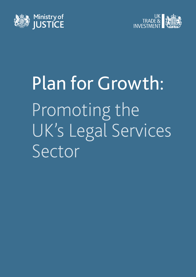



# Plan for Growth: Promoting the UK's Legal Services Sector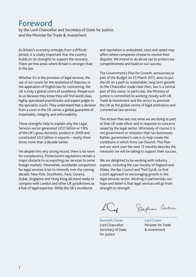#### Foreword

by the Lord Chancellor and Secretary of State for Justice, and the Minister for Trade & Investment

As Britain's economy emerges from a difficult period, it is vitally important that the country builds on its strengths to support the recovery. There are few areas where Britain is stronger than in the law.

Whether it's in the provision of legal services, the use of our courts for the resolution of disputes, or the application of English law for contracting, the UK is truly a global centre of excellence. People turn to us because they know they will find world class, highly specialised practitioners and expert judges in the specialist courts. They understand that a decision from a court in the UK carries a global guarantee of impartiality, integrity and enforceability.

These strengths help to explain why the Legal Services sector generated £23.1 billion or 1.8% of the UK's gross domestic product in 2009 and constituted £3.2 billion in exports – nearly three times more than a decade earlier.

Yet despite this very strong record, there is no room for complacency. Protectionist regulations remain a major obstacle to us exporting our services to some foreign markets. Meanwhile, worldwide competition for legal services is set to intensify over the coming decade. New York, Stockholm, Paris, Geneva, Dubai, Singapore and Hong Kong all stand ready to compete with London and other UK jurisdictions as a hub of legal expertise. While the UK's excellence

and reputation is undoubted, costs and speed may affect where companies choose to resolve their disputes. We intend to do all we can to protect our competitiveness and build on our success.

The Government's Plan for Growth, announced as part of the Budget on 23 March 2011, aims to put the UK on a path to sustainable, long term growth. As the Chancellor made clear then, law is a central part of this vision. In particular, the Ministry of Justice is committed to working closely with UK Trade & Investment and the sector to promote the UK as the global centre of legal arbitration and commercial law services.

This Action Plan sets out what we are doing as part of that UK wide effort and in response to concerns raised by the legal sector. Ultimately of course it is not government or ministers that run businesses. Rather, government's role is to help create the conditions in which firms can flourish. This Plan and our work over the next 12 months describe the measures we will be taking to support their success.

We are delighted to be working with industry experts, including the Law Society of England and Wales, the Bar Council and TheCityUK, to find a joint approach to encouraging growth in the legal services sector. Working in partnership, our hope and belief is that legal services will go from strength to strength.

L. $C_{\boldsymbol{\mathcal{U}}}$ 

Stephen Cheen

Kenneth Clarke Lord Chancellor Secretary of State for Justice

Lord Green Minister for Trade & Investment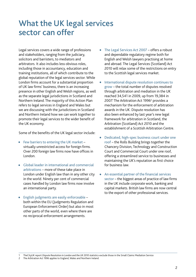## What the UK legal services sector can offer

Legal services covers a wide range of professions and stakeholders, ranging from the judiciary, solicitors and barristers, to mediators and arbitrators. It also includes less obvious roles, including those in accountancy, education and training institutions, all of which contribute to the global reputation of the legal services sector. While London firms account for a substantial proportion of UK law firms' business, there is an increasing presence in other English and Welsh regions, as well as the separate legal jurisdictions in Scotland and Northern Ireland. The majority of this Action Plan refers to legal services in England and Wales but we are discussing with the jurisdictions in Scotland and Northern Ireland how we can work together to promote their legal services to the wider benefit of the UK economy.

Some of the benefits of the UK legal sector include:

- Few barriers to entering the UK market virtually unrestricted access for foreign firms. Over 200 foreign law firms now have offices in London.
- Global leader in international and commercial arbitrations – more of these take place in London under English law than in any other city in the world. Ninety per cent of commercial cases handled by London law firms now involve an international party.
- English judgments are easily enforceable both within the EU (Judgments Regulation and European Enforcement Order) but also in most other parts of the world, even where there are no reciprocal enforcement arrangements.
- The Legal Services Act 2007 offers a robust and dependable regulatory regime both for English and Welsh lawyers practising at home and abroad. The Legal Services (Scotland) Act 2010 will relax some of the restrictions on entry to the Scottish legal services market.
- International dispute resolution continues to grow – the total number of disputes resolved through arbitration and mediation in the UK reached 34,541 in 2009, up from 19,384 in 2007.<sup>1</sup> The Arbitration Act 1996<sup>2</sup> provides a mechanism for the enforcement of arbitration awards in the UK. Dispute resolution has also been enhanced by last year's new legal framework for arbitration in Scotland, the Arbitration (Scotland) Act 2010 and the establishment of a Scottish Arbitration Centre.
- Dedicated, high-spec business court under one roof – the Rolls Building brings together the Chancery Division, Technology and Construction Court and Commercial Court under one roof, offering a streamlined service to businesses and maintaining the UK's reputation as first choice for business law.
- An essential partner of the financial services sector – the biggest areas of practice of law firms in the UK include corporate work, banking and capital markets. British law firms are now central to the export of other professional services.

<sup>1</sup> TheCityUK report *Dispute Resolution in London and the UK 2010* statistics exclude those in the Small Claims Mediation Service

The Arbitration Act 1996 applies to England, Wales and Northern Ireland.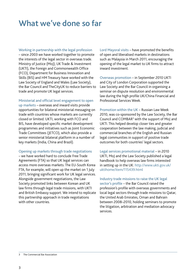## What we've done so far

Working in partnership with the legal profession – since 2003 we have worked together to promote the interests of the legal sector in overseas trade. Ministry of Justice (MoJ), UK Trade & Investment (UKTI), the Foreign and Commonwealth Office (FCO), Department for Business Innovation and Skills (BIS) and HM Treasury have worked with the Law Society of England and Wales (Law Society), the Bar Council and TheCityUK to reduce barriers to trade and promote UK legal services.

Ministerial and official level engagement to open

up markets – overseas and inward visits provide opportunities for bilateral ministerial messaging on trade with countries whose markets are currently closed or limited. UKTI, working with FCO and BIS, have developed specific market development programmes and initiatives such as Joint Economic Trade Committees (JETCO), which also provide a senior ministerial bilateral platform in a number of key markets (India, China and Brazil).

Opening up markets through trade negotiations

– we have worked hard to conclude Free Trade Agreements (FTA) so that UK legal services can access more overseas markets. The EU-South Korea FTA, for example, will open up the market on 1 July 2011, bringing significant work for UK legal services. Alongside government negotiations, the Law Society promoted links between Korean and UK law firms through legal trade missions, with UKTI and British Embassy support. We intend to replicate this partnership approach in trade negotiations with other countries.

Lord Mayoral visits – have promoted the benefits of open and liberalised markets in destinations such as Malaysia in March 2011, encouraging the opening of the legal market to UK firms to attract inward investment.

Overseas promotion – in September 2010 UKTI and City of London Corporation supported the Law Society and the Bar Council in organising a seminar on dispute resolution and environmental law during the high profile UK/China Financial and Professional Services Week.

Promotion within the UK – Russian Law Week 2010, was co-sponsored by the Law Society, the Bar Council and COMBAR<sup>3</sup> with the support of MoJ and UKTI. This helped develop closer ties and greater cooperation between the law making, judicial and commercial branches of the English and Russian legal communities in support of positive trade outcomes for both countries' legal sectors.

Legal services promotional material – in 2010 UKTI, MoJ and the Law Society published a legal handbook to help overseas law firms interested in setting up in the UK: http://www.ukti.gov.uk/ uktihome/item/115439.html

Industry trade missions to raise the UK legal sector's profile – the Bar Council raised the profession's profile with overseas governments and local legal sectors through trade missions to Qatar, the United Arab Emirates, Oman and Bahrain between 2008–2010, holding seminars to promote the litigation, arbitration and mediation advocacy services.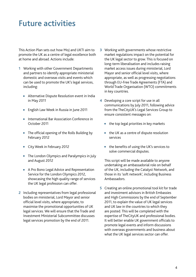#### Future activities

This Action Plan sets out how MoJ and UKTI aim to promote the UK as a centre of legal excellence both at home and abroad. Actions include:

- **1** Working with other Government Departments and partners to identify appropriate ministerial domestic and overseas visits and events which can be used to promote the UK's legal services, including:
	- Alternative Dispute Resolution event in India in May 2011
	- English Law Week in Russia in June 2011
	- International Bar Association Conference in October 2011
	- The official opening of the Rolls Building by February 2012
	- City Week in February 2012
	- The London Olympics and Paralympics in July and August 2012
	- A Pro Bono Legal Advice and Representation Service for the London Olympics 2012, showcasing the high quality range of services the UK legal profession can offer.
- **2** Including representatives from legal professional bodies on ministerial, Lord Mayor and senior official level visits, where appropriate, to maximise the promotional opportunities of UK legal services. We will ensure that the Trade and Investment Ministerial Subcommittee discusses legal services promotion by the end of 2011.
- **3** Working with governments whose restrictive market regulations impact on the potential for the UK legal sector to grow. This is focused on long-term liberalisation and includes raising market access issues during ministerial, Lord Mayor and senior official level visits, where appropriate, as well as progressing negotiations through EU-Free Trade Agreements (FTA) and World Trade Organisation (WTO) commitments in key countries.
- **4** Developing a core script for use in all communications by July 2011, following advice from the TheCityUK's Legal Services Group to ensure consistent messages on:
	- the top legal priorities in key markets
	- the UK as a centre of dispute resolution services
	- the benefits of using the UK's services to solve commercial disputes.

 This script will be made available to anyone undertaking an ambassadorial role on behalf of the UK, including the Catalyst Network, and those in its 'soft network', including Business Ambassadors.

**5** Creating an online promotional tool kit for trade and investment advisors in British Embassies and High Commissions by the end of September 2011, to explain the value of UK legal services and UK law in the countries to which they are posted. This will be completed with the expertise of TheCityUK and professional bodies. It will better enable UK government officials to promote legal events and inform discussions with overseas governments and business about what the UK legal services sector can offer.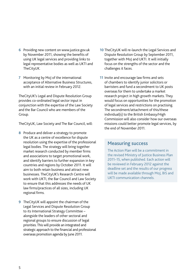- **6** Providing new content on www.justice.gov.uk by November 2011, showing the benefits of using UK legal services and providing links to legal representative bodies as well as UKTI and TheCityUK.
- **7** Monitoring by MoJ of the international acceptance of Alternative Business Structures, with an initial review in February 2012.

TheCityUK's Legal and Dispute Resolution Group provides co-ordinated legal sector input in conjunction with the expertise of the Law Society and the Bar Council who are members of the Group.

TheCityUK, Law Society and The Bar Council, will:

- **8** Produce and deliver a strategy to promote the UK as a centre of excellence for dispute resolution using the expertise of the professional legal bodies. The strategy will bring together market research conducted by member firms and associations to target promotional work, and identify barriers to further expansion in key countries and regions by October 2011. It will aim to both retain business and attract new businesses. TheCityUK's Research Centre will work with UKTI, the Bar Council and Law Society to ensure that this addresses the needs of UK law firms/practices of all sizes, including UK regional firms.
- **9** TheCityUK will appoint the chairman of the Legal Services and Dispute Resolution Group to its International Strategy Committee – alongside the leaders of other sectoral and regional groups to ensure discussion of legal priorities. This will provide an integrated and strategic approach to the financial and professional overseas promotion agenda by June 2011.
- **10** TheCityUK will re-launch the Legal Services and Dispute Resolution Group by September 2011, together with MoJ and UKTI. It will initially focus on the strengths of the sector and the challenges it faces.
- **11** Invite and encourage law firms and sets of chambers to identify junior solicitors or barristers and fund a secondment to UK posts overseas for them to undertake a market research project in high growth markets. They would focus on opportunities for the promotion of legal services and restrictions on practising. The secondment/attachment of this/these individual(s) to the British Embassy/High Commission will also consider how our overseas missions could better promote legal services, by the end of November 2011.

#### Measuring success

The Action Plan will be a commitment in the revised Ministry of Justice Business Plan 2011–15, when published. Each action will be reviewed in February 2012 against the deadline set and the results of our progress will be made available through MoJ, BIS and UKTI communication channels.